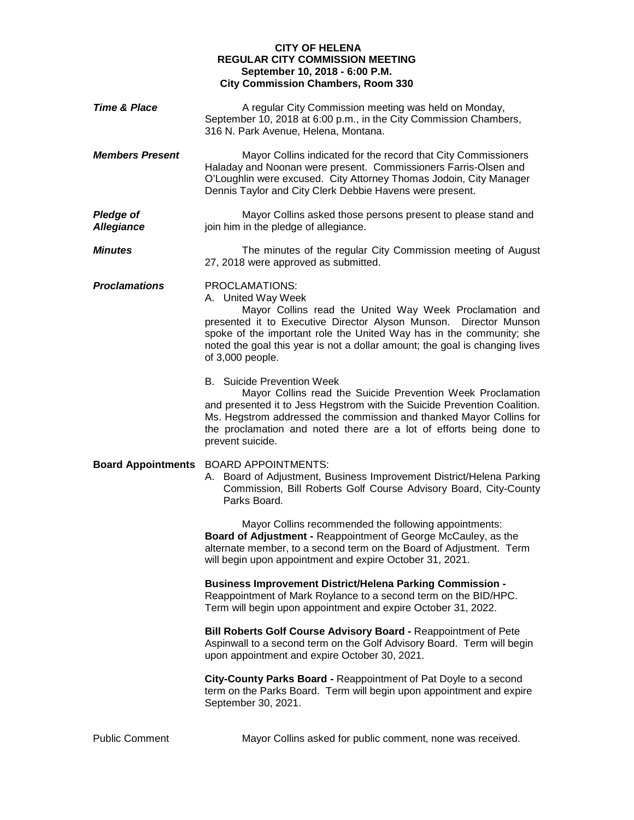## **CITY OF HELENA REGULAR CITY COMMISSION MEETING September 10, 2018 - 6:00 P.M. City Commission Chambers, Room 330**

| <b>Time &amp; Place</b>               | A regular City Commission meeting was held on Monday,<br>September 10, 2018 at 6:00 p.m., in the City Commission Chambers,<br>316 N. Park Avenue, Helena, Montana.                                                                                                                                                                              |
|---------------------------------------|-------------------------------------------------------------------------------------------------------------------------------------------------------------------------------------------------------------------------------------------------------------------------------------------------------------------------------------------------|
| <b>Members Present</b>                | Mayor Collins indicated for the record that City Commissioners<br>Haladay and Noonan were present. Commissioners Farris-Olsen and<br>O'Loughlin were excused. City Attorney Thomas Jodoin, City Manager<br>Dennis Taylor and City Clerk Debbie Havens were present.                                                                             |
| <b>Pledge of</b><br><b>Allegiance</b> | Mayor Collins asked those persons present to please stand and<br>join him in the pledge of allegiance.                                                                                                                                                                                                                                          |
| <b>Minutes</b>                        | The minutes of the regular City Commission meeting of August<br>27, 2018 were approved as submitted.                                                                                                                                                                                                                                            |
| <b>Proclamations</b>                  | PROCLAMATIONS:<br>A. United Way Week<br>Mayor Collins read the United Way Week Proclamation and<br>presented it to Executive Director Alyson Munson. Director Munson<br>spoke of the important role the United Way has in the community; she<br>noted the goal this year is not a dollar amount; the goal is changing lives<br>of 3,000 people. |
|                                       | <b>B.</b> Suicide Prevention Week<br>Mayor Collins read the Suicide Prevention Week Proclamation<br>and presented it to Jess Hegstrom with the Suicide Prevention Coalition.<br>Ms. Hegstrom addressed the commission and thanked Mayor Collins for<br>the proclamation and noted there are a lot of efforts being done to<br>prevent suicide.  |
| <b>Board Appointments</b>             | <b>BOARD APPOINTMENTS:</b><br>A. Board of Adjustment, Business Improvement District/Helena Parking<br>Commission, Bill Roberts Golf Course Advisory Board, City-County<br>Parks Board.                                                                                                                                                          |
|                                       | Mayor Collins recommended the following appointments:<br>Board of Adjustment - Reappointment of George McCauley, as the<br>alternate member, to a second term on the Board of Adjustment. Term<br>will begin upon appointment and expire October 31, 2021.                                                                                      |
|                                       | <b>Business Improvement District/Helena Parking Commission -</b><br>Reappointment of Mark Roylance to a second term on the BID/HPC.<br>Term will begin upon appointment and expire October 31, 2022.                                                                                                                                            |
|                                       | Bill Roberts Golf Course Advisory Board - Reappointment of Pete<br>Aspinwall to a second term on the Golf Advisory Board. Term will begin<br>upon appointment and expire October 30, 2021.                                                                                                                                                      |
|                                       | City-County Parks Board - Reappointment of Pat Doyle to a second<br>term on the Parks Board. Term will begin upon appointment and expire<br>September 30, 2021.                                                                                                                                                                                 |

Public Comment Mayor Collins asked for public comment, none was received.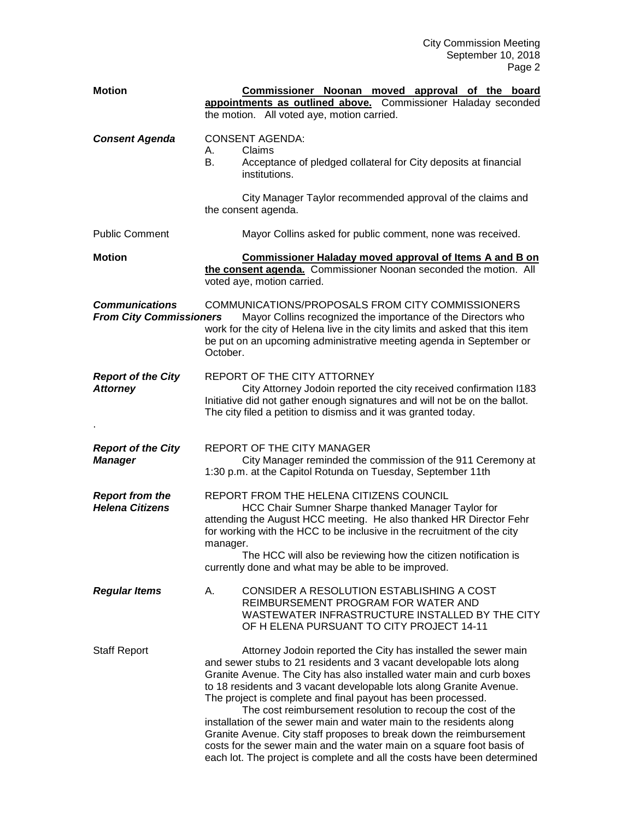| <b>Motion</b>                                           | Commissioner Noonan moved approval of the board<br>appointments as outlined above. Commissioner Haladay seconded<br>the motion. All voted aye, motion carried.                                                                                                                                                                                                                                                                                                                                                                                                                                                                                                                                                           |
|---------------------------------------------------------|--------------------------------------------------------------------------------------------------------------------------------------------------------------------------------------------------------------------------------------------------------------------------------------------------------------------------------------------------------------------------------------------------------------------------------------------------------------------------------------------------------------------------------------------------------------------------------------------------------------------------------------------------------------------------------------------------------------------------|
| <b>Consent Agenda</b>                                   | <b>CONSENT AGENDA:</b><br>Claims<br>А.<br>В.<br>Acceptance of pledged collateral for City deposits at financial<br>institutions.                                                                                                                                                                                                                                                                                                                                                                                                                                                                                                                                                                                         |
|                                                         | City Manager Taylor recommended approval of the claims and<br>the consent agenda.                                                                                                                                                                                                                                                                                                                                                                                                                                                                                                                                                                                                                                        |
| <b>Public Comment</b>                                   | Mayor Collins asked for public comment, none was received.                                                                                                                                                                                                                                                                                                                                                                                                                                                                                                                                                                                                                                                               |
| <b>Motion</b>                                           | <b>Commissioner Haladay moved approval of Items A and B on</b><br>the consent agenda. Commissioner Noonan seconded the motion. All<br>voted aye, motion carried.                                                                                                                                                                                                                                                                                                                                                                                                                                                                                                                                                         |
| <b>Communications</b><br><b>From City Commissioners</b> | COMMUNICATIONS/PROPOSALS FROM CITY COMMISSIONERS<br>Mayor Collins recognized the importance of the Directors who<br>work for the city of Helena live in the city limits and asked that this item<br>be put on an upcoming administrative meeting agenda in September or<br>October.                                                                                                                                                                                                                                                                                                                                                                                                                                      |
| <b>Report of the City</b><br><b>Attorney</b>            | REPORT OF THE CITY ATTORNEY<br>City Attorney Jodoin reported the city received confirmation I183<br>Initiative did not gather enough signatures and will not be on the ballot.<br>The city filed a petition to dismiss and it was granted today.                                                                                                                                                                                                                                                                                                                                                                                                                                                                         |
| <b>Report of the City</b><br><b>Manager</b>             | <b>REPORT OF THE CITY MANAGER</b><br>City Manager reminded the commission of the 911 Ceremony at<br>1:30 p.m. at the Capitol Rotunda on Tuesday, September 11th                                                                                                                                                                                                                                                                                                                                                                                                                                                                                                                                                          |
| <b>Report from the</b><br><b>Helena Citizens</b>        | REPORT FROM THE HELENA CITIZENS COUNCIL<br>HCC Chair Sumner Sharpe thanked Manager Taylor for<br>attending the August HCC meeting. He also thanked HR Director Fehr<br>for working with the HCC to be inclusive in the recruitment of the city<br>manager.<br>The HCC will also be reviewing how the citizen notification is<br>currently done and what may be able to be improved.                                                                                                                                                                                                                                                                                                                                      |
| <b>Regular Items</b>                                    | CONSIDER A RESOLUTION ESTABLISHING A COST<br>А.<br>REIMBURSEMENT PROGRAM FOR WATER AND<br>WASTEWATER INFRASTRUCTURE INSTALLED BY THE CITY<br>OF H ELENA PURSUANT TO CITY PROJECT 14-11                                                                                                                                                                                                                                                                                                                                                                                                                                                                                                                                   |
| <b>Staff Report</b>                                     | Attorney Jodoin reported the City has installed the sewer main<br>and sewer stubs to 21 residents and 3 vacant developable lots along<br>Granite Avenue. The City has also installed water main and curb boxes<br>to 18 residents and 3 vacant developable lots along Granite Avenue.<br>The project is complete and final payout has been processed.<br>The cost reimbursement resolution to recoup the cost of the<br>installation of the sewer main and water main to the residents along<br>Granite Avenue. City staff proposes to break down the reimbursement<br>costs for the sewer main and the water main on a square foot basis of<br>each lot. The project is complete and all the costs have been determined |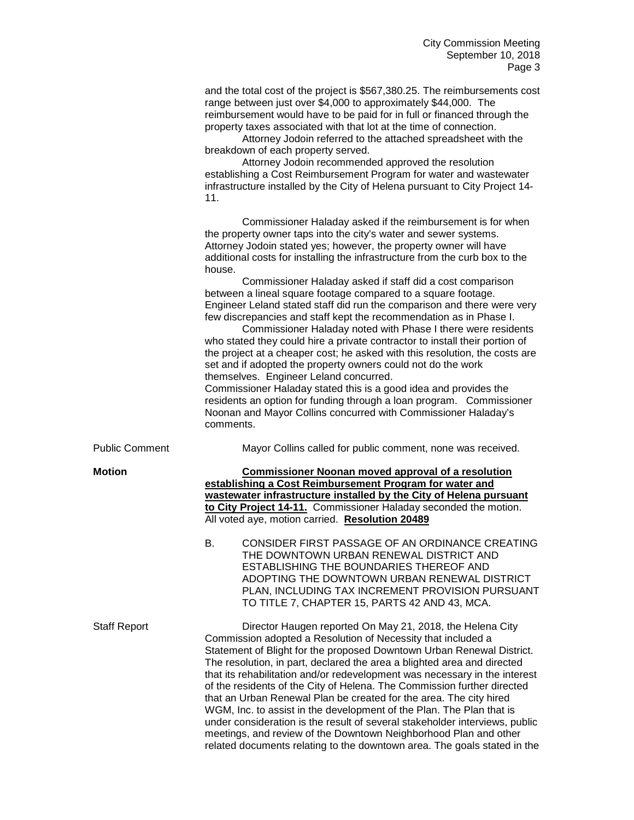and the total cost of the project is \$567,380.25. The reimbursements cost range between just over \$4,000 to approximately \$44,000. The reimbursement would have to be paid for in full or financed through the property taxes associated with that lot at the time of connection.

Attorney Jodoin referred to the attached spreadsheet with the breakdown of each property served.

Attorney Jodoin recommended approved the resolution establishing a Cost Reimbursement Program for water and wastewater infrastructure installed by the City of Helena pursuant to City Project 14- 11.

Commissioner Haladay asked if the reimbursement is for when the property owner taps into the city's water and sewer systems. Attorney Jodoin stated yes; however, the property owner will have additional costs for installing the infrastructure from the curb box to the house.

Commissioner Haladay asked if staff did a cost comparison between a lineal square footage compared to a square footage. Engineer Leland stated staff did run the comparison and there were very few discrepancies and staff kept the recommendation as in Phase I.

Commissioner Haladay noted with Phase I there were residents who stated they could hire a private contractor to install their portion of the project at a cheaper cost; he asked with this resolution, the costs are set and if adopted the property owners could not do the work themselves. Engineer Leland concurred.

Commissioner Haladay stated this is a good idea and provides the residents an option for funding through a loan program. Commissioner Noonan and Mayor Collins concurred with Commissioner Haladay's comments.

Public Comment Mayor Collins called for public comment, none was received.

**Motion Commissioner Noonan moved approval of a resolution establishing a Cost Reimbursement Program for water and wastewater infrastructure installed by the City of Helena pursuant to City Project 14-11.** Commissioner Haladay seconded the motion. All voted aye, motion carried. **Resolution 20489**

> B. CONSIDER FIRST PASSAGE OF AN ORDINANCE CREATING THE DOWNTOWN URBAN RENEWAL DISTRICT AND ESTABLISHING THE BOUNDARIES THEREOF AND ADOPTING THE DOWNTOWN URBAN RENEWAL DISTRICT PLAN, INCLUDING TAX INCREMENT PROVISION PURSUANT TO TITLE 7, CHAPTER 15, PARTS 42 AND 43, MCA.

Staff Report Director Haugen reported On May 21, 2018, the Helena City Commission adopted a Resolution of Necessity that included a Statement of Blight for the proposed Downtown Urban Renewal District. The resolution, in part, declared the area a blighted area and directed that its rehabilitation and/or redevelopment was necessary in the interest of the residents of the City of Helena. The Commission further directed that an Urban Renewal Plan be created for the area. The city hired WGM, Inc. to assist in the development of the Plan. The Plan that is under consideration is the result of several stakeholder interviews, public meetings, and review of the Downtown Neighborhood Plan and other related documents relating to the downtown area. The goals stated in the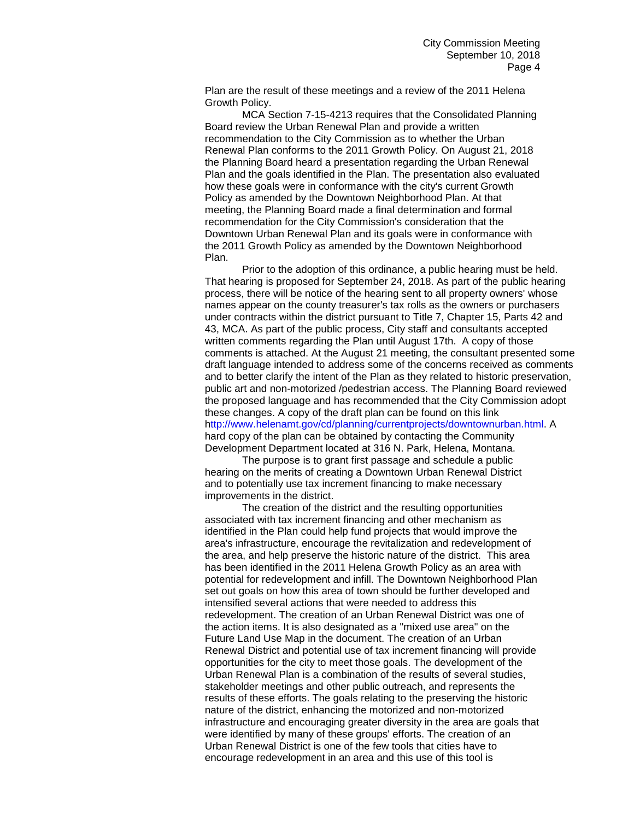Plan are the result of these meetings and a review of the 2011 Helena Growth Policy.

MCA Section 7-15-4213 requires that the Consolidated Planning Board review the Urban Renewal Plan and provide a written recommendation to the City Commission as to whether the Urban Renewal Plan conforms to the 2011 Growth Policy. On August 21, 2018 the Planning Board heard a presentation regarding the Urban Renewal Plan and the goals identified in the Plan. The presentation also evaluated how these goals were in conformance with the city's current Growth Policy as amended by the Downtown Neighborhood Plan. At that meeting, the Planning Board made a final determination and formal recommendation for the City Commission's consideration that the Downtown Urban Renewal Plan and its goals were in conformance with the 2011 Growth Policy as amended by the Downtown Neighborhood Plan.

Prior to the adoption of this ordinance, a public hearing must be held. That hearing is proposed for September 24, 2018. As part of the public hearing process, there will be notice of the hearing sent to all property owners' whose names appear on the county treasurer's tax rolls as the owners or purchasers under contracts within the district pursuant to Title 7, Chapter 15, Parts 42 and 43, MCA. As part of the public process, City staff and consultants accepted written comments regarding the Plan until August 17th. A copy of those comments is attached. At the August 21 meeting, the consultant presented some draft language intended to address some of the concerns received as comments and to better clarify the intent of the Plan as they related to historic preservation, public art and non-motorized /pedestrian access. The Planning Board reviewed the proposed language and has recommended that the City Commission adopt these changes. A copy of the draft plan can be found on this link http://www.helenamt.gov/cd/planning/currentprojects/downtownurban.html. A hard copy of the plan can be obtained by contacting the Community Development Department located at 316 N. Park, Helena, Montana.

The purpose is to grant first passage and schedule a public hearing on the merits of creating a Downtown Urban Renewal District and to potentially use tax increment financing to make necessary improvements in the district.

The creation of the district and the resulting opportunities associated with tax increment financing and other mechanism as identified in the Plan could help fund projects that would improve the area's infrastructure, encourage the revitalization and redevelopment of the area, and help preserve the historic nature of the district. This area has been identified in the 2011 Helena Growth Policy as an area with potential for redevelopment and infill. The Downtown Neighborhood Plan set out goals on how this area of town should be further developed and intensified several actions that were needed to address this redevelopment. The creation of an Urban Renewal District was one of the action items. It is also designated as a "mixed use area" on the Future Land Use Map in the document. The creation of an Urban Renewal District and potential use of tax increment financing will provide opportunities for the city to meet those goals. The development of the Urban Renewal Plan is a combination of the results of several studies, stakeholder meetings and other public outreach, and represents the results of these efforts. The goals relating to the preserving the historic nature of the district, enhancing the motorized and non-motorized infrastructure and encouraging greater diversity in the area are goals that were identified by many of these groups' efforts. The creation of an Urban Renewal District is one of the few tools that cities have to encourage redevelopment in an area and this use of this tool is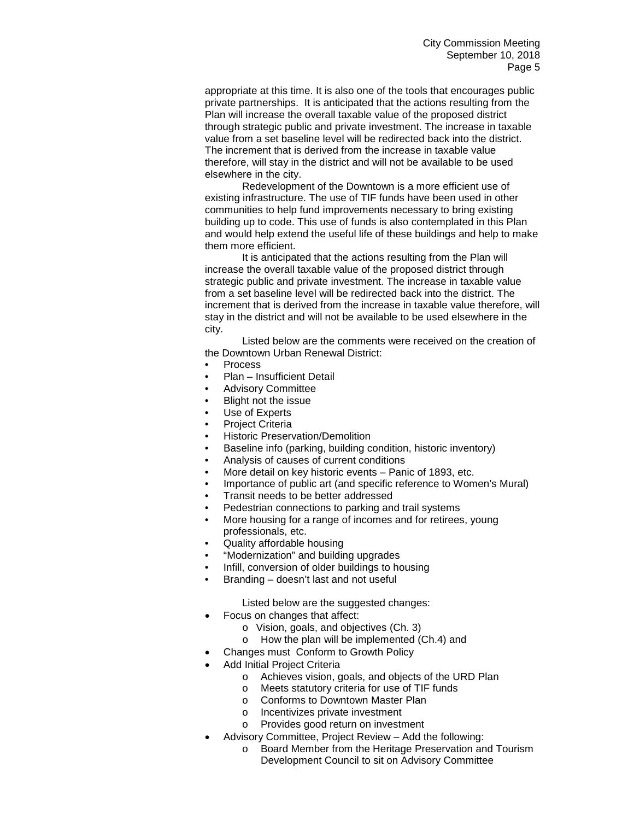appropriate at this time. It is also one of the tools that encourages public private partnerships. It is anticipated that the actions resulting from the Plan will increase the overall taxable value of the proposed district through strategic public and private investment. The increase in taxable value from a set baseline level will be redirected back into the district. The increment that is derived from the increase in taxable value therefore, will stay in the district and will not be available to be used elsewhere in the city.

Redevelopment of the Downtown is a more efficient use of existing infrastructure. The use of TIF funds have been used in other communities to help fund improvements necessary to bring existing building up to code. This use of funds is also contemplated in this Plan and would help extend the useful life of these buildings and help to make them more efficient.

It is anticipated that the actions resulting from the Plan will increase the overall taxable value of the proposed district through strategic public and private investment. The increase in taxable value from a set baseline level will be redirected back into the district. The increment that is derived from the increase in taxable value therefore, will stay in the district and will not be available to be used elsewhere in the city.

Listed below are the comments were received on the creation of the Downtown Urban Renewal District:

- Process
- Plan Insufficient Detail
- Advisory Committee
- Blight not the issue
- Use of Experts
- Project Criteria
- Historic Preservation/Demolition
- Baseline info (parking, building condition, historic inventory)
- Analysis of causes of current conditions
- More detail on key historic events Panic of 1893, etc.
- Importance of public art (and specific reference to Women's Mural)
- Transit needs to be better addressed
- Pedestrian connections to parking and trail systems
- More housing for a range of incomes and for retirees, young professionals, etc.
- Quality affordable housing
- "Modernization" and building upgrades
- Infill, conversion of older buildings to housing
- Branding doesn't last and not useful

Listed below are the suggested changes:

- Focus on changes that affect:
	- o Vision, goals, and objectives (Ch. 3)
	- o How the plan will be implemented (Ch.4) and
- Changes must Conform to Growth Policy
- Add Initial Project Criteria
	- o Achieves vision, goals, and objects of the URD Plan
	- o Meets statutory criteria for use of TIF funds
	- o Conforms to Downtown Master Plan
	- o Incentivizes private investment
	- o Provides good return on investment
	- Advisory Committee, Project Review Add the following:
		- o Board Member from the Heritage Preservation and Tourism Development Council to sit on Advisory Committee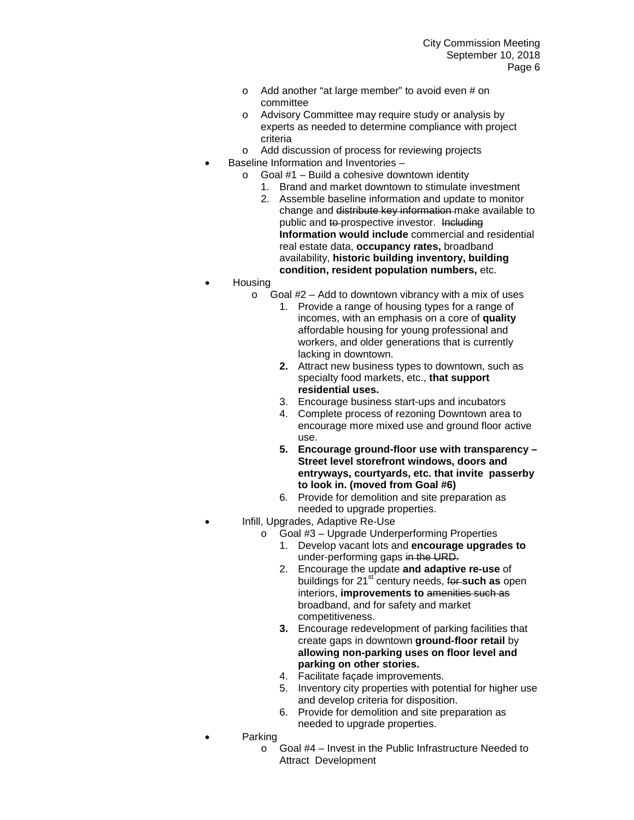- o Add another "at large member" to avoid even # on committee
- o Advisory Committee may require study or analysis by experts as needed to determine compliance with project criteria
- o Add discussion of process for reviewing projects
- Baseline Information and Inventories
	- $\circ$  Goal #1 Build a cohesive downtown identity
		- 1. Brand and market downtown to stimulate investment
		- 2. Assemble baseline information and update to monitor change and distribute key information make available to public and to prospective investor. Including **Information would include** commercial and residential real estate data, **occupancy rates,** broadband availability, **historic building inventory, building condition, resident population numbers,** etc.
- Housing
	- $\circ$  Goal #2 Add to downtown vibrancy with a mix of uses
		- 1. Provide a range of housing types for a range of incomes, with an emphasis on a core of **quality**  affordable housing for young professional and workers, and older generations that is currently lacking in downtown.
		- **2.** Attract new business types to downtown, such as specialty food markets, etc., **that support residential uses.**
		- 3. Encourage business start-ups and incubators
		- 4. Complete process of rezoning Downtown area to encourage more mixed use and ground floor active use.
		- **5. Encourage ground-floor use with transparency – Street level storefront windows, doors and entryways, courtyards, etc. that invite passerby to look in. (moved from Goal #6)**
		- 6. Provide for demolition and site preparation as needed to upgrade properties.
- Infill, Upgrades, Adaptive Re-Use
	- o Goal #3 Upgrade Underperforming Properties
		- 1. Develop vacant lots and **encourage upgrades to** under-performing gaps in the URD.
		- 2. Encourage the update **and adaptive re-use** of buildings for 21<sup>st</sup> century needs, for such as open interiors, **improvements to** amenities such as broadband, and for safety and market competitiveness.
		- **3.** Encourage redevelopment of parking facilities that create gaps in downtown **ground-floor retail** by **allowing non-parking uses on floor level and parking on other stories.**
		- 4. Facilitate façade improvements.
		- 5. Inventory city properties with potential for higher use and develop criteria for disposition.
		- 6. Provide for demolition and site preparation as needed to upgrade properties.
	- **Parking** 
		- o Goal #4 Invest in the Public Infrastructure Needed to Attract Development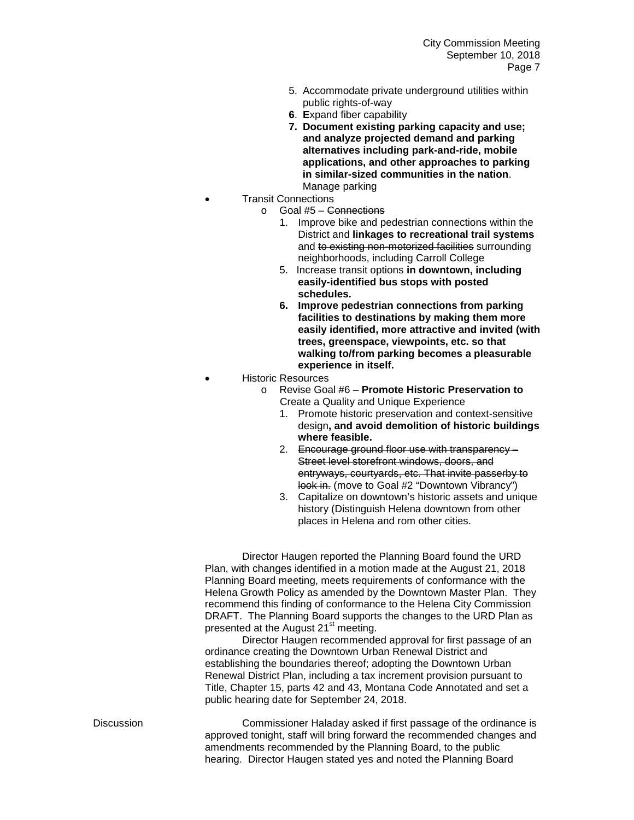- 5. Accommodate private underground utilities within public rights-of-way
- **6**. **E**xpand fiber capability
- **7. Document existing parking capacity and use; and analyze projected demand and parking alternatives including park-and-ride, mobile applications, and other approaches to parking in similar-sized communities in the nation**. Manage parking
- Transit Connections
	- o Goal #5 Connections
		- 1. Improve bike and pedestrian connections within the District and **linkages to recreational trail systems** and to existing non-motorized facilities surrounding neighborhoods, including Carroll College
		- 5. Increase transit options **in downtown, including easily-identified bus stops with posted schedules.**
		- **6. Improve pedestrian connections from parking facilities to destinations by making them more easily identified, more attractive and invited (with trees, greenspace, viewpoints, etc. so that walking to/from parking becomes a pleasurable experience in itself.**
- Historic Resources
	- o Revise Goal #6 **Promote Historic Preservation to** Create a Quality and Unique Experience
		- 1. Promote historic preservation and context-sensitive design**, and avoid demolition of historic buildings where feasible.**
		- 2. Encourage ground floor use with transparency Street level storefront windows, doors, and entryways, courtyards, etc. That invite passerby to look in. (move to Goal #2 "Downtown Vibrancy")
		- 3. Capitalize on downtown's historic assets and unique history (Distinguish Helena downtown from other places in Helena and rom other cities.

Director Haugen reported the Planning Board found the URD Plan, with changes identified in a motion made at the August 21, 2018 Planning Board meeting, meets requirements of conformance with the Helena Growth Policy as amended by the Downtown Master Plan. They recommend this finding of conformance to the Helena City Commission DRAFT. The Planning Board supports the changes to the URD Plan as presented at the August 21<sup>st</sup> meeting.

Director Haugen recommended approval for first passage of an ordinance creating the Downtown Urban Renewal District and establishing the boundaries thereof; adopting the Downtown Urban Renewal District Plan, including a tax increment provision pursuant to Title, Chapter 15, parts 42 and 43, Montana Code Annotated and set a public hearing date for September 24, 2018.

Discussion Commissioner Haladay asked if first passage of the ordinance is approved tonight, staff will bring forward the recommended changes and amendments recommended by the Planning Board, to the public hearing. Director Haugen stated yes and noted the Planning Board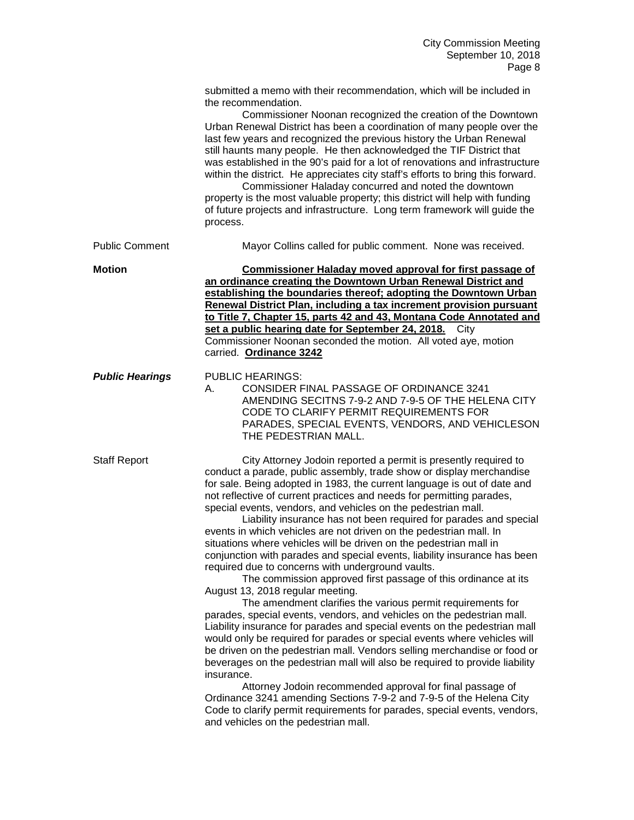|                        | submitted a memo with their recommendation, which will be included in<br>the recommendation.<br>Commissioner Noonan recognized the creation of the Downtown<br>Urban Renewal District has been a coordination of many people over the<br>last few years and recognized the previous history the Urban Renewal<br>still haunts many people. He then acknowledged the TIF District that<br>was established in the 90's paid for a lot of renovations and infrastructure<br>within the district. He appreciates city staff's efforts to bring this forward.<br>Commissioner Haladay concurred and noted the downtown<br>property is the most valuable property; this district will help with funding<br>of future projects and infrastructure. Long term framework will guide the<br>process.                                                                                                                                                                                                                                                                                                                                                                                                                                                                                                                                                                                                                                                                                                                                                                 |
|------------------------|------------------------------------------------------------------------------------------------------------------------------------------------------------------------------------------------------------------------------------------------------------------------------------------------------------------------------------------------------------------------------------------------------------------------------------------------------------------------------------------------------------------------------------------------------------------------------------------------------------------------------------------------------------------------------------------------------------------------------------------------------------------------------------------------------------------------------------------------------------------------------------------------------------------------------------------------------------------------------------------------------------------------------------------------------------------------------------------------------------------------------------------------------------------------------------------------------------------------------------------------------------------------------------------------------------------------------------------------------------------------------------------------------------------------------------------------------------------------------------------------------------------------------------------------------------|
| <b>Public Comment</b>  | Mayor Collins called for public comment. None was received.                                                                                                                                                                                                                                                                                                                                                                                                                                                                                                                                                                                                                                                                                                                                                                                                                                                                                                                                                                                                                                                                                                                                                                                                                                                                                                                                                                                                                                                                                                |
| <b>Motion</b>          | Commissioner Haladay moved approval for first passage of<br>an ordinance creating the Downtown Urban Renewal District and<br>establishing the boundaries thereof; adopting the Downtown Urban<br>Renewal District Plan, including a tax increment provision pursuant<br>to Title 7, Chapter 15, parts 42 and 43, Montana Code Annotated and<br>set a public hearing date for September 24, 2018. City<br>Commissioner Noonan seconded the motion. All voted aye, motion<br>carried. Ordinance 3242                                                                                                                                                                                                                                                                                                                                                                                                                                                                                                                                                                                                                                                                                                                                                                                                                                                                                                                                                                                                                                                         |
| <b>Public Hearings</b> | <b>PUBLIC HEARINGS:</b><br>CONSIDER FINAL PASSAGE OF ORDINANCE 3241<br>А.<br>AMENDING SECITNS 7-9-2 AND 7-9-5 OF THE HELENA CITY<br>CODE TO CLARIFY PERMIT REQUIREMENTS FOR<br>PARADES, SPECIAL EVENTS, VENDORS, AND VEHICLESON<br>THE PEDESTRIAN MALL.                                                                                                                                                                                                                                                                                                                                                                                                                                                                                                                                                                                                                                                                                                                                                                                                                                                                                                                                                                                                                                                                                                                                                                                                                                                                                                    |
| <b>Staff Report</b>    | City Attorney Jodoin reported a permit is presently required to<br>conduct a parade, public assembly, trade show or display merchandise<br>for sale. Being adopted in 1983, the current language is out of date and<br>not reflective of current practices and needs for permitting parades,<br>special events, vendors, and vehicles on the pedestrian mall.<br>Liability insurance has not been required for parades and special<br>events in which vehicles are not driven on the pedestrian mall. In<br>situations where vehicles will be driven on the pedestrian mall in<br>conjunction with parades and special events, liability insurance has been<br>required due to concerns with underground vaults.<br>The commission approved first passage of this ordinance at its<br>August 13, 2018 regular meeting.<br>The amendment clarifies the various permit requirements for<br>parades, special events, vendors, and vehicles on the pedestrian mall.<br>Liability insurance for parades and special events on the pedestrian mall<br>would only be required for parades or special events where vehicles will<br>be driven on the pedestrian mall. Vendors selling merchandise or food or<br>beverages on the pedestrian mall will also be required to provide liability<br>insurance.<br>Attorney Jodoin recommended approval for final passage of<br>Ordinance 3241 amending Sections 7-9-2 and 7-9-5 of the Helena City<br>Code to clarify permit requirements for parades, special events, vendors,<br>and vehicles on the pedestrian mall. |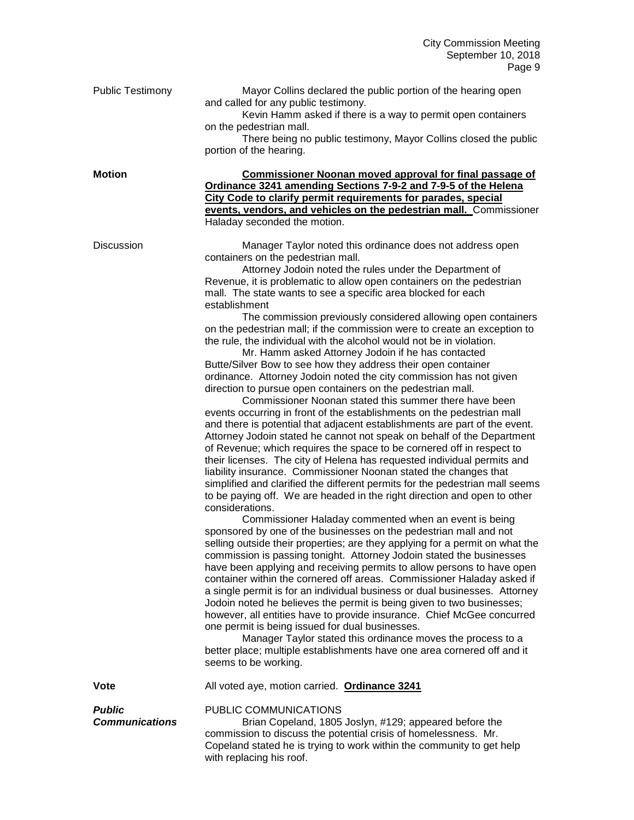| <b>Public Testimony</b><br><b>Motion</b> | Mayor Collins declared the public portion of the hearing open<br>and called for any public testimony.<br>Kevin Hamm asked if there is a way to permit open containers<br>on the pedestrian mall.<br>There being no public testimony, Mayor Collins closed the public<br>portion of the hearing.<br><b>Commissioner Noonan moved approval for final passage of</b>                                                                                                                                                                                                                                                                                                                                                                                                                                                                                                                                                                                                                                                                                                                                                                                                                                                                                                                                                                                                                                                                                                                                                                                                                                                                                                                                                                                                                                                                                                                                                                                                                                                                                                                                                                                                                                                                                                                                                                                                                                         |
|------------------------------------------|-----------------------------------------------------------------------------------------------------------------------------------------------------------------------------------------------------------------------------------------------------------------------------------------------------------------------------------------------------------------------------------------------------------------------------------------------------------------------------------------------------------------------------------------------------------------------------------------------------------------------------------------------------------------------------------------------------------------------------------------------------------------------------------------------------------------------------------------------------------------------------------------------------------------------------------------------------------------------------------------------------------------------------------------------------------------------------------------------------------------------------------------------------------------------------------------------------------------------------------------------------------------------------------------------------------------------------------------------------------------------------------------------------------------------------------------------------------------------------------------------------------------------------------------------------------------------------------------------------------------------------------------------------------------------------------------------------------------------------------------------------------------------------------------------------------------------------------------------------------------------------------------------------------------------------------------------------------------------------------------------------------------------------------------------------------------------------------------------------------------------------------------------------------------------------------------------------------------------------------------------------------------------------------------------------------------------------------------------------------------------------------------------------------|
|                                          | Ordinance 3241 amending Sections 7-9-2 and 7-9-5 of the Helena<br>City Code to clarify permit requirements for parades, special<br>events, vendors, and vehicles on the pedestrian mall. Commissioner<br>Haladay seconded the motion.                                                                                                                                                                                                                                                                                                                                                                                                                                                                                                                                                                                                                                                                                                                                                                                                                                                                                                                                                                                                                                                                                                                                                                                                                                                                                                                                                                                                                                                                                                                                                                                                                                                                                                                                                                                                                                                                                                                                                                                                                                                                                                                                                                     |
| <b>Discussion</b>                        | Manager Taylor noted this ordinance does not address open<br>containers on the pedestrian mall.<br>Attorney Jodoin noted the rules under the Department of<br>Revenue, it is problematic to allow open containers on the pedestrian<br>mall. The state wants to see a specific area blocked for each<br>establishment<br>The commission previously considered allowing open containers<br>on the pedestrian mall; if the commission were to create an exception to<br>the rule, the individual with the alcohol would not be in violation.<br>Mr. Hamm asked Attorney Jodoin if he has contacted<br>Butte/Silver Bow to see how they address their open container<br>ordinance. Attorney Jodoin noted the city commission has not given<br>direction to pursue open containers on the pedestrian mall.<br>Commissioner Noonan stated this summer there have been<br>events occurring in front of the establishments on the pedestrian mall<br>and there is potential that adjacent establishments are part of the event.<br>Attorney Jodoin stated he cannot not speak on behalf of the Department<br>of Revenue; which requires the space to be cornered off in respect to<br>their licenses. The city of Helena has requested individual permits and<br>liability insurance. Commissioner Noonan stated the changes that<br>simplified and clarified the different permits for the pedestrian mall seems<br>to be paying off. We are headed in the right direction and open to other<br>considerations.<br>Commissioner Haladay commented when an event is being<br>sponsored by one of the businesses on the pedestrian mall and not<br>selling outside their properties; are they applying for a permit on what the<br>commission is passing tonight. Attorney Jodoin stated the businesses<br>have been applying and receiving permits to allow persons to have open<br>container within the cornered off areas. Commissioner Haladay asked if<br>a single permit is for an individual business or dual businesses. Attorney<br>Jodoin noted he believes the permit is being given to two businesses;<br>however, all entities have to provide insurance. Chief McGee concurred<br>one permit is being issued for dual businesses.<br>Manager Taylor stated this ordinance moves the process to a<br>better place; multiple establishments have one area cornered off and it<br>seems to be working. |
| <b>Vote</b>                              | All voted aye, motion carried. Ordinance 3241                                                                                                                                                                                                                                                                                                                                                                                                                                                                                                                                                                                                                                                                                                                                                                                                                                                                                                                                                                                                                                                                                                                                                                                                                                                                                                                                                                                                                                                                                                                                                                                                                                                                                                                                                                                                                                                                                                                                                                                                                                                                                                                                                                                                                                                                                                                                                             |
| <b>Public</b><br><b>Communications</b>   | PUBLIC COMMUNICATIONS<br>Brian Copeland, 1805 Joslyn, #129; appeared before the<br>commission to discuss the potential crisis of homelessness. Mr.<br>Copeland stated he is trying to work within the community to get help<br>with replacing his roof.                                                                                                                                                                                                                                                                                                                                                                                                                                                                                                                                                                                                                                                                                                                                                                                                                                                                                                                                                                                                                                                                                                                                                                                                                                                                                                                                                                                                                                                                                                                                                                                                                                                                                                                                                                                                                                                                                                                                                                                                                                                                                                                                                   |